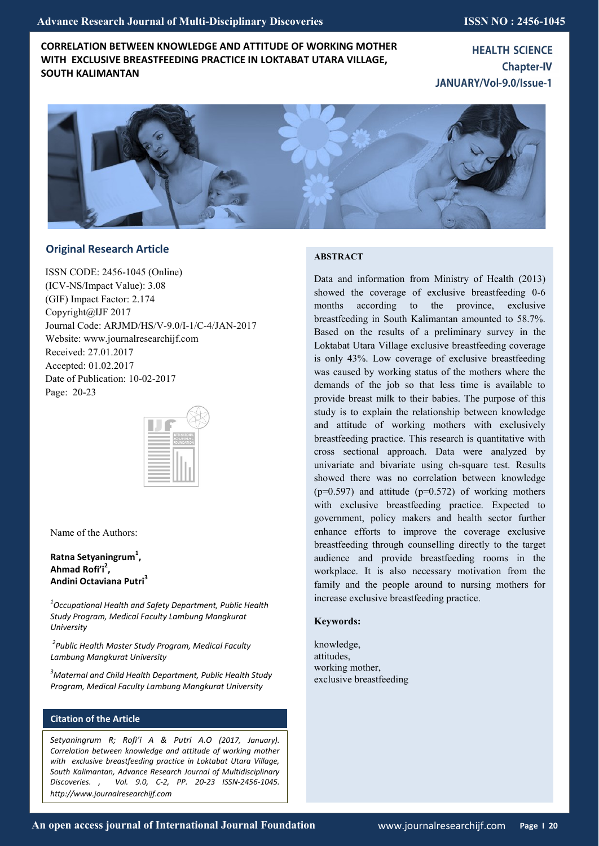# **CORRELATION BETWEEN KNOWLEDGE AND ATTITUDE OF WORKING MOTHER WITH EXCLUSIVE BREASTFEEDING PRACTICE IN LOKTABAT UTARA VILLAGE, SOUTH KALIMANTAN**

**HEALTH SCIENCE Chapter-IV** JANUARY/Vol-9.0/Issue-1



# **Original Research Article**

ISSN CODE: 2456-1045 (Online) (ICV-NS/Impact Value): 3.08 (GIF) Impact Factor: 2.174 Copyright@IJF 2017 Journal Code: ARJMD/HS/V-9.0/I-1/C-4/JAN-2017 Website: www.journalresearchijf.com Received: 27.01.2017 Accepted: 01.02.2017 Date of Publication: 10-02-2017 Page: 20-23



Name of the Authors:

## **Ratna Setyaningrum<sup>1</sup> , Ahmad Rofi'i<sup>2</sup> , Andini Octaviana Putri<sup>3</sup>**

*1 Occupational Health and Safety Department, Public Health Study Program, Medical Faculty Lambung Mangkurat University*

*2 Public Health Master Study Program, Medical Faculty Lambung Mangkurat University*

*<sup>3</sup>Maternal and Child Health Department, Public Health Study Program, Medical Faculty Lambung Mangkurat University*

## **Citation of the Article**

*Setyaningrum R; Rofi'i A & Putri A.O (2017, January). Correlation between knowledge and attitude of working mother with exclusive breastfeeding practice in Loktabat Utara Village, South Kalimantan, Advance Research Journal of Multidisciplinary Discoveries. , Vol. 9.0, C-2, PP. 20-23 ISSN-2456-1045. http://www.journalresearchijf.com***e**

## **ABSTRACT**

Data and information from Ministry of Health (2013) showed the coverage of exclusive breastfeeding 0-6 months according to the province, exclusive breastfeeding in South Kalimantan amounted to 58.7%. Based on the results of a preliminary survey in the Loktabat Utara Village exclusive breastfeeding coverage is only 43%. Low coverage of exclusive breastfeeding was caused by working status of the mothers where the demands of the job so that less time is available to provide breast milk to their babies. The purpose of this study is to explain the relationship between knowledge and attitude of working mothers with exclusively breastfeeding practice. This research is quantitative with cross sectional approach. Data were analyzed by univariate and bivariate using ch-square test. Results showed there was no correlation between knowledge  $(p=0.597)$  and attitude  $(p=0.572)$  of working mothers with exclusive breastfeeding practice. Expected to government, policy makers and health sector further enhance efforts to improve the coverage exclusive breastfeeding through counselling directly to the target audience and provide breastfeeding rooms in the workplace. It is also necessary motivation from the family and the people around to nursing mothers for increase exclusive breastfeeding practice.

## **Keywords:**

knowledge, attitudes, working mother, exclusive breastfeeding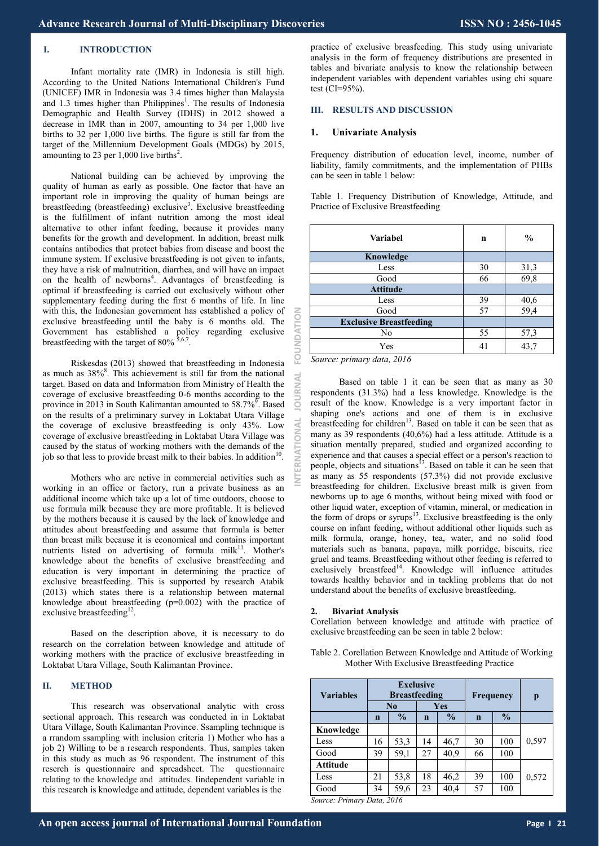### **I. INTRODUCTION**

Infant mortality rate (IMR) in Indonesia is still high. According to the United Nations International Children's Fund (UNICEF) IMR in Indonesia was 3.4 times higher than Malaysia and 1.3 times higher than Philippines<sup>1</sup>. The results of Indonesia Demographic and Health Survey (IDHS) in 2012 showed a decrease in IMR than in 2007, amounting to 34 per 1,000 live births to 32 per 1,000 live births. The figure is still far from the target of the Millennium Development Goals (MDGs) by 2015, amounting to 23 per  $1,000$  live births<sup>2</sup>.

National building can be achieved by improving the quality of human as early as possible. One factor that have an important role in improving the quality of human beings are breastfeeding (breastfeeding) exclusive<sup>3</sup>. Exclusive breastfeeding is the fulfillment of infant nutrition among the most ideal alternative to other infant feeding, because it provides many benefits for the growth and development. In addition, breast milk contains antibodies that protect babies from disease and boost the immune system. If exclusive breastfeeding is not given to infants, they have a risk of malnutrition, diarrhea, and will have an impact on the health of newborns<sup>4</sup>. Advantages of breastfeeding is optimal if breastfeeding is carried out exclusively without other supplementary feeding during the first 6 months of life. In line with this, the Indonesian government has established a policy of exclusive breastfeeding until the baby is 6 months old. The Government has established a policy regarding exclusive breastfeeding with the target of  $80\%$   $\frac{5,6,7}{2}$ .

Riskesdas (2013) showed that breastfeeding in Indonesia as much as 38%<sup>8</sup>. This achievement is still far from the national target. Based on data and Information from Ministry of Health the coverage of exclusive breastfeeding 0-6 months according to the province in 2013 in South Kalimantan amounted to 58.7%<sup>9</sup>. Based on the results of a preliminary survey in Loktabat Utara Village the coverage of exclusive breastfeeding is only 43%. Low coverage of exclusive breastfeeding in Loktabat Utara Village was caused by the status of working mothers with the demands of the job so that less to provide breast milk to their babies. In addition<sup>10</sup>.

Mothers who are active in commercial activities such as working in an office or factory, run a private business as an additional income which take up a lot of time outdoors, choose to use formula milk because they are more profitable. It is believed by the mothers because it is caused by the lack of knowledge and attitudes about breastfeeding and assume that formula is better than breast milk because it is economical and contains important nutrients listed on advertising of formula milk $11$ . Mother's knowledge about the benefits of exclusive breastfeeding and education is very important in determining the practice of exclusive breastfeeding. This is supported by research Atabik (2013) which states there is a relationship between maternal knowledge about breastfeeding (p=0.002) with the practice of exclusive breastfeeding<sup>12</sup>.

Based on the description above, it is necessary to do research on the correlation between knowledge and attitude of working mothers with the practice of exclusive breastfeeding in Loktabat Utara Village, South Kalimantan Province.

## **II. METHOD**

This research was observational analytic with cross sectional approach. This research was conducted in in Loktabat Utara Village, South Kalimantan Province. Ssampling technique is a rrandom ssampling with inclusion criteria 1) Mother who has a job 2) Willing to be a research respondents. Thus, samples taken in this study as much as 96 respondent. The instrument of this reserch is questionnaire and spreadsheet. The questionnaire relating to the knowledge and attitudes. Iindependent variable in this research is knowledge and attitude, dependent variables is the

practice of exclusive breasfeeding. This study using univariate analysis in the form of frequency distributions are presented in tables and bivariate analysis to know the relationship between independent variables with dependent variables using chi square test (CI=95%).

### **III. RESULTS AND DISCUSSION**

#### **1. Univariate Analysis**

Frequency distribution of education level, income, number of liability, family commitments, and the implementation of PHBs can be seen in table 1 below:

Table 1. Frequency Distribution of Knowledge, Attitude, and Practice of Exclusive Breastfeeding

| <b>Variabel</b>                | n  | $\frac{0}{0}$ |
|--------------------------------|----|---------------|
| Knowledge                      |    |               |
| Less                           | 30 | 31,3          |
| Good                           | 66 | 69,8          |
| <b>Attitude</b>                |    |               |
| Less                           | 39 | 40,6          |
| Good                           | 57 | 59,4          |
| <b>Exclusive Breastfeeding</b> |    |               |
| No                             | 55 | 57,3          |
| Yes                            | 41 | 43,7          |

*Source: primary data, 2016*

We have been actual of the internation of International International International Office December 2017. Some control in the international Source of International Journal Journal Towards (1973) and the secondation of Int Based on table 1 it can be seen that as many as 30 respondents (31.3%) had a less knowledge. Knowledge is the result of the know. Knowledge is a very important factor in shaping one's actions and one of them is in exclusive breastfeeding for children<sup>13</sup>. Based on table it can be seen that as many as 39 respondents (40,6%) had a less attitude. Attitude is a situation mentally prepared, studied and organized according to experience and that causes a special effect or a person's reaction to people, objects and situations<sup>13</sup>. Based on table it can be seen that as many as 55 respondents (57.3%) did not provide exclusive breastfeeding for children. Exclusive breast milk is given from newborns up to age 6 months, without being mixed with food or other liquid water, exception of vitamin, mineral, or medication in the form of drops or syrups<sup>13</sup>. Exclusive breastfeeding is the only course on infant feeding, without additional other liquids such as milk formula, orange, honey, tea, water, and no solid food materials such as banana, papaya, milk porridge, biscuits, rice gruel and teams. Breastfeeding without other feeding is referred to exclusively breastfeed<sup>14</sup>. Knowledge will influence attitudes towards healthy behavior and in tackling problems that do not understand about the benefits of exclusive breastfeeding.

#### **2. Bivariat Analysis**

Corellation between knowledge and attitude with practice of exclusive breastfeeding can be seen in table 2 below:

Table 2. Corellation Between Knowledge and Attitude of Working Mother With Exclusive Breastfeeding Practice

| <b>Variables</b> | <b>Exclusive</b><br><b>Breastfeeding</b> |               |             | Frequency     |             | p             |       |
|------------------|------------------------------------------|---------------|-------------|---------------|-------------|---------------|-------|
|                  | No                                       |               | Yes         |               |             |               |       |
|                  | $\mathbf n$                              | $\frac{0}{0}$ | $\mathbf n$ | $\frac{0}{0}$ | $\mathbf n$ | $\frac{6}{9}$ |       |
| Knowledge        |                                          |               |             |               |             |               |       |
| Less             | 16                                       | 53,3          | 14          | 46,7          | 30          | 100           | 0,597 |
| Good             | 39                                       | 59,1          | 27          | 40.9          | 66          | 100           |       |
| Attitude         |                                          |               |             |               |             |               |       |
| Less             | 21                                       | 53,8          | 18          | 46,2          | 39          | 100           | 0,572 |
| Good             | 34                                       | 59,6          | 23          | 40,4          | 57          | 100           |       |

*Source: Primary Data, 2016*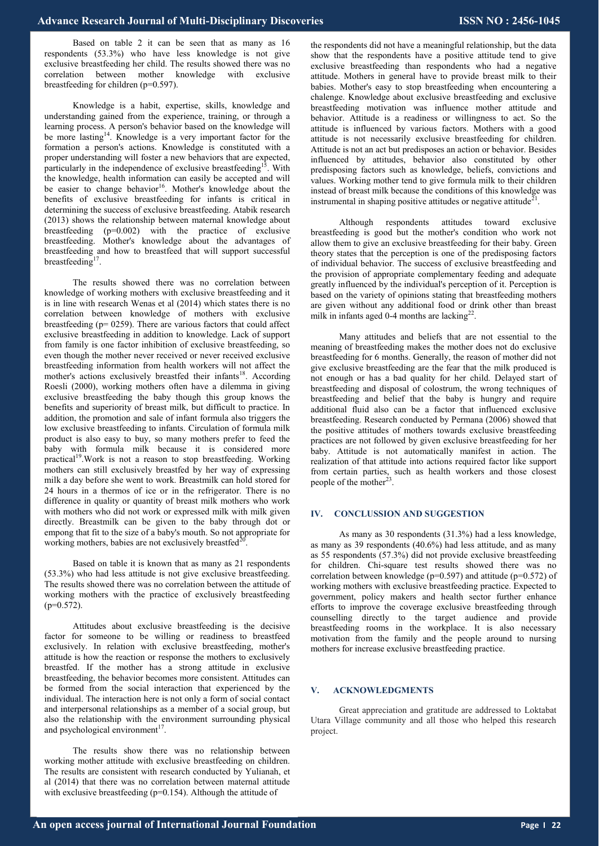Based on table 2 it can be seen that as many as 16 respondents (53.3%) who have less knowledge is not give exclusive breastfeeding her child. The results showed there was no correlation between mother knowledge with exclusive breastfeeding for children (p=0.597).

Knowledge is a habit, expertise, skills, knowledge and understanding gained from the experience, training, or through a learning process. A person's behavior based on the knowledge will be more lasting<sup>14</sup>. Knowledge is a very important factor for the formation a person's actions. Knowledge is constituted with a proper understanding will foster a new behaviors that are expected, particularly in the independence of exclusive breastfeeding<sup>15</sup>. With the knowledge, health information can easily be accepted and will be easier to change behavior<sup>16</sup>. Mother's knowledge about the benefits of exclusive breastfeeding for infants is critical in determining the success of exclusive breastfeeding. Atabik research (2013) shows the relationship between maternal knowledge about breastfeeding (p=0.002) with the practice of exclusive breastfeeding. Mother's knowledge about the advantages of breastfeeding and how to breastfeed that will support successful breastfeeding $1$ .

The results showed there was no correlation between knowledge of working mothers with exclusive breastfeeding and it is in line with research Wenas et al (2014) which states there is no correlation between knowledge of mothers with exclusive breastfeeding (p= 0259). There are various factors that could affect exclusive breastfeeding in addition to knowledge. Lack of support from family is one factor inhibition of exclusive breastfeeding, so even though the mother never received or never received exclusive breastfeeding information from health workers will not affect the mother's actions exclusively breastfed their infants<sup>18</sup>. According Roesli (2000), working mothers often have a dilemma in giving exclusive breastfeeding the baby though this group knows the benefits and superiority of breast milk, but difficult to practice. In addition, the promotion and sale of infant formula also triggers the low exclusive breastfeeding to infants. Circulation of formula milk product is also easy to buy, so many mothers prefer to feed the baby with formula milk because it is considered more practical<sup>19</sup>. Work is not a reason to stop breastfeeding. Working mothers can still exclusively breastfed by her way of expressing milk a day before she went to work. Breastmilk can hold stored for 24 hours in a thermos of ice or in the refrigerator. There is no difference in quality or quantity of breast milk mothers who work with mothers who did not work or expressed milk with milk given directly. Breastmilk can be given to the baby through dot or empong that fit to the size of a baby's mouth. So not appropriate for working mothers, babies are not exclusively breastfed $2<sup>2</sup>$ .

Based on table it is known that as many as 21 respondents (53.3%) who had less attitude is not give exclusive breastfeeding. The results showed there was no correlation between the attitude of working mothers with the practice of exclusively breastfeeding  $(p=0.572)$ .

Attitudes about exclusive breastfeeding is the decisive factor for someone to be willing or readiness to breastfeed exclusively. In relation with exclusive breastfeeding, mother's attitude is how the reaction or response the mothers to exclusively breastfed. If the mother has a strong attitude in exclusive breastfeeding, the behavior becomes more consistent. Attitudes can be formed from the social interaction that experienced by the individual. The interaction here is not only a form of social contact and interpersonal relationships as a member of a social group, but also the relationship with the environment surrounding physical and psychological environment $17$ .

The results show there was no relationship between working mother attitude with exclusive breastfeeding on children. The results are consistent with research conducted by Yulianah, et al (2014) that there was no correlation between maternal attitude with exclusive breastfeeding (p=0.154). Although the attitude of

the respondents did not have a meaningful relationship, but the data show that the respondents have a positive attitude tend to give exclusive breastfeeding than respondents who had a negative attitude. Mothers in general have to provide breast milk to their babies. Mother's easy to stop breastfeeding when encountering a chalenge. Knowledge about exclusive breastfeeding and exclusive breastfeeding motivation was influence mother attitude and behavior. Attitude is a readiness or willingness to act. So the attitude is influenced by various factors. Mothers with a good attitude is not necessarily exclusive breastfeeding for children. Attitude is not an act but predisposes an action or behavior. Besides influenced by attitudes, behavior also constituted by other predisposing factors such as knowledge, beliefs, convictions and values. Working mother tend to give formula milk to their children instead of breast milk because the conditions of this knowledge was instrumental in shaping positive attitudes or negative attitude<sup>21</sup>.

Although respondents attitudes toward exclusive breastfeeding is good but the mother's condition who work not allow them to give an exclusive breastfeeding for their baby. Green theory states that the perception is one of the predisposing factors of individual behavior. The success of exclusive breastfeeding and the provision of appropriate complementary feeding and adequate greatly influenced by the individual's perception of it. Perception is based on the variety of opinions stating that breastfeeding mothers are given without any additional food or drink other than breast milk in infants aged 0-4 months are lacking $2^2$ .

Many attitudes and beliefs that are not essential to the meaning of breastfeeding makes the mother does not do exclusive breastfeeding for 6 months. Generally, the reason of mother did not give exclusive breastfeeding are the fear that the milk produced is not enough or has a bad quality for her child. Delayed start of breastfeeding and disposal of colostrum, the wrong techniques of breastfeeding and belief that the baby is hungry and require additional fluid also can be a factor that influenced exclusive breastfeeding. Research conducted by Permana (2006) showed that the positive attitudes of mothers towards exclusive breastfeeding practices are not followed by given exclusive breastfeeding for her baby. Attitude is not automatically manifest in action. The realization of that attitude into actions required factor like support from certain parties, such as health workers and those closest people of the mother<sup>23</sup>.

## **IV. CONCLUSSION AND SUGGESTION**

As many as 30 respondents (31.3%) had a less knowledge, as many as 39 respondents (40.6%) had less attitude, and as many as 55 respondents (57.3%) did not provide exclusive breastfeeding for children. Chi-square test results showed there was no correlation between knowledge ( $p=0.597$ ) and attitude ( $p=0.572$ ) of working mothers with exclusive breastfeeding practice. Expected to government, policy makers and health sector further enhance efforts to improve the coverage exclusive breastfeeding through counselling directly to the target audience and provide breastfeeding rooms in the workplace. It is also necessary motivation from the family and the people around to nursing mothers for increase exclusive breastfeeding practice.

#### **V. ACKNOWLEDGMENTS**

Great appreciation and gratitude are addressed to Loktabat Utara Village community and all those who helped this research project.